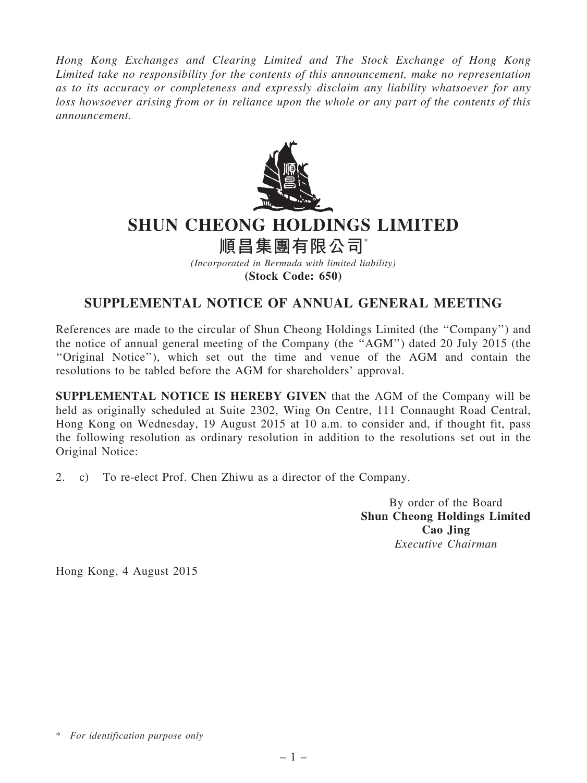*Hong Kong Exchanges and Clearing Limited and The Stock Exchange of Hong Kong Limited take no responsibility for the contents of this announcement, make no representation as to its accuracy or completeness and expressly disclaim any liability whatsoever for any loss howsoever arising from or in reliance upon the whole or any part of the contents of this announcement.*



## SHUN CHEONG HOLDINGS LIMITED

## 順昌集團有限公司\*

*(Incorporated in Bermuda with limited liability)* (Stock Code: 650)

## SUPPLEMENTAL NOTICE OF ANNUAL GENERAL MEETING

References are made to the circular of Shun Cheong Holdings Limited (the ''Company'') and the notice of annual general meeting of the Company (the ''AGM'') dated 20 July 2015 (the ''Original Notice''), which set out the time and venue of the AGM and contain the resolutions to be tabled before the AGM for shareholders' approval.

SUPPLEMENTAL NOTICE IS HEREBY GIVEN that the AGM of the Company will be held as originally scheduled at Suite 2302, Wing On Centre, 111 Connaught Road Central, Hong Kong on Wednesday, 19 August 2015 at 10 a.m. to consider and, if thought fit, pass the following resolution as ordinary resolution in addition to the resolutions set out in the Original Notice:

2. c) To re-elect Prof. Chen Zhiwu as a director of the Company.

By order of the Board Shun Cheong Holdings Limited Cao Jing *Executive Chairman*

Hong Kong, 4 August 2015

<sup>\*</sup> *For identification purpose only*